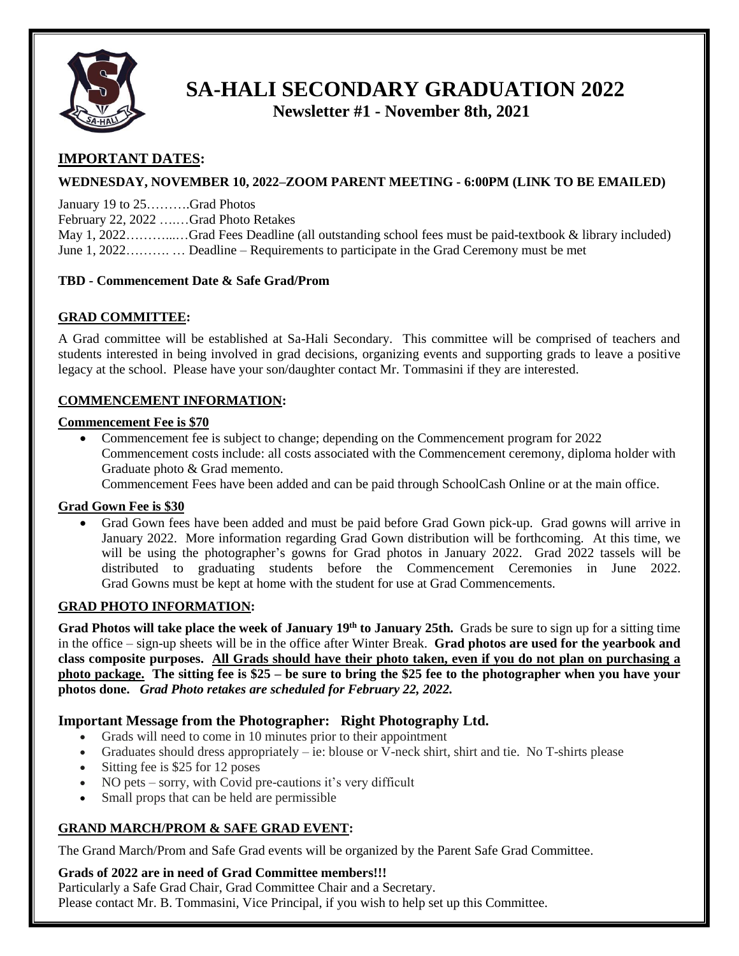

# **SA-HALI SECONDARY GRADUATION 2022**

 **Newsletter #1 - November 8th, 2021**

# **IMPORTANT DATES:**

## **WEDNESDAY, NOVEMBER 10, 2022–ZOOM PARENT MEETING - 6:00PM (LINK TO BE EMAILED)**

January 19 to 25……….Grad Photos

February 22, 2022 ….…Grad Photo Retakes

May 1, 2022………...…Grad Fees Deadline (all outstanding school fees must be paid-textbook & library included) June 1, 2022………. … Deadline – Requirements to participate in the Grad Ceremony must be met

#### **TBD - Commencement Date & Safe Grad/Prom**

#### **GRAD COMMITTEE:**

A Grad committee will be established at Sa-Hali Secondary. This committee will be comprised of teachers and students interested in being involved in grad decisions, organizing events and supporting grads to leave a positive legacy at the school. Please have your son/daughter contact Mr. Tommasini if they are interested.

#### **COMMENCEMENT INFORMATION:**

#### **Commencement Fee is \$70**

• Commencement fee is subject to change; depending on the Commencement program for 2022 Commencement costs include: all costs associated with the Commencement ceremony, diploma holder with Graduate photo & Grad memento.

Commencement Fees have been added and can be paid through SchoolCash Online or at the main office.

#### **Grad Gown Fee is \$30**

 Grad Gown fees have been added and must be paid before Grad Gown pick-up. Grad gowns will arrive in January 2022. More information regarding Grad Gown distribution will be forthcoming. At this time, we will be using the photographer's gowns for Grad photos in January 2022. Grad 2022 tassels will be distributed to graduating students before the Commencement Ceremonies in June 2022. Grad Gowns must be kept at home with the student for use at Grad Commencements.

#### **GRAD PHOTO INFORMATION:**

**Grad Photos will take place the week of January 19th to January 25th.** Grads be sure to sign up for a sitting time in the office – sign-up sheets will be in the office after Winter Break. **Grad photos are used for the yearbook and class composite purposes. All Grads should have their photo taken, even if you do not plan on purchasing a photo package. The sitting fee is \$25 – be sure to bring the \$25 fee to the photographer when you have your photos done.** *Grad Photo retakes are scheduled for February 22, 2022.*

# **Important Message from the Photographer: Right Photography Ltd.**

- Grads will need to come in 10 minutes prior to their appointment
- Graduates should dress appropriately ie: blouse or  $\hat{V}$ -neck shirt, shirt and tie. No T-shirts please
- Sitting fee is \$25 for 12 poses
- NO pets sorry, with Covid pre-cautions it's very difficult
- Small props that can be held are permissible

#### **GRAND MARCH/PROM & SAFE GRAD EVENT:**

The Grand March/Prom and Safe Grad events will be organized by the Parent Safe Grad Committee.

#### **Grads of 2022 are in need of Grad Committee members!!!**

Particularly a Safe Grad Chair, Grad Committee Chair and a Secretary.

Please contact Mr. B. Tommasini, Vice Principal, if you wish to help set up this Committee.